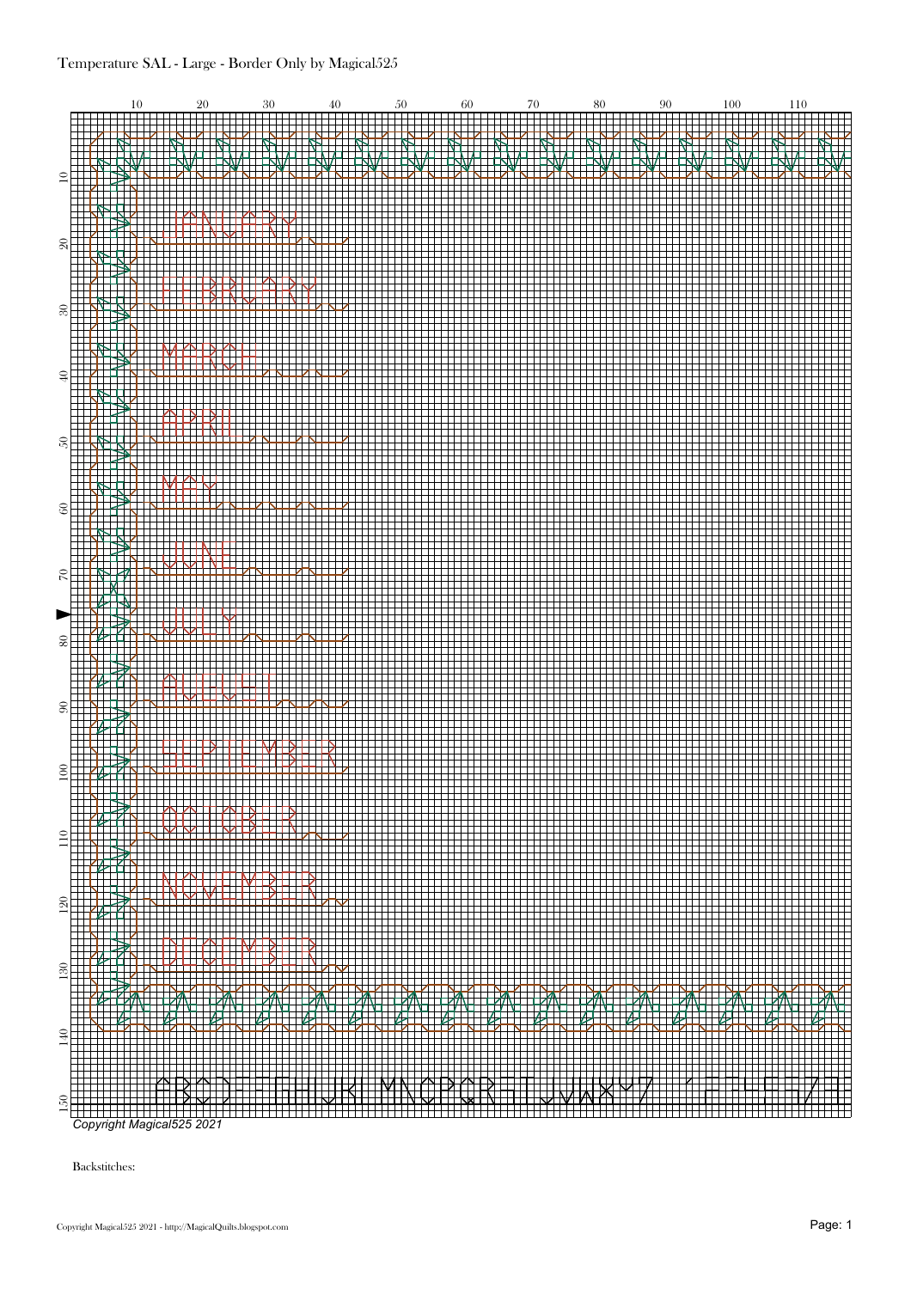

Backstitches: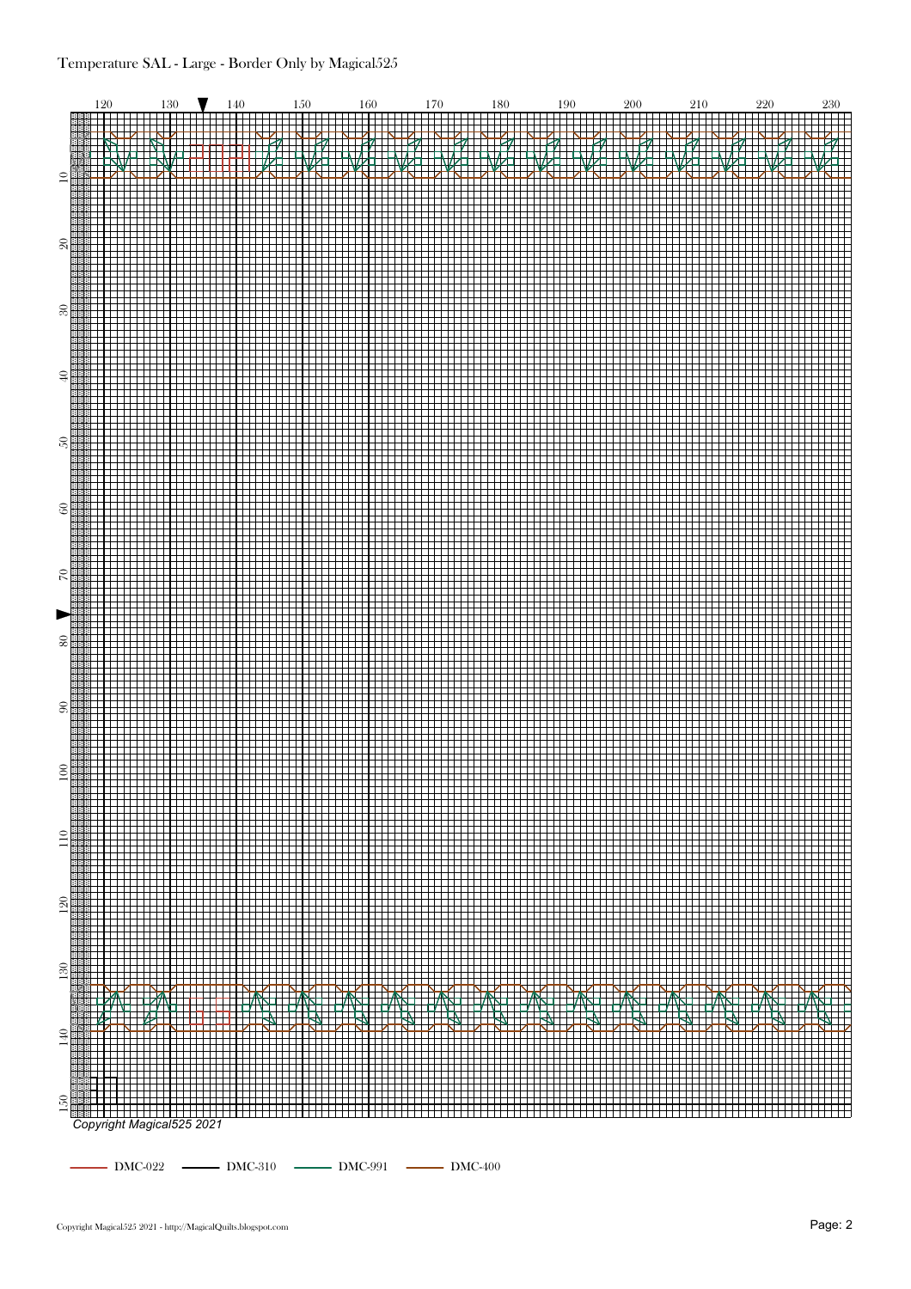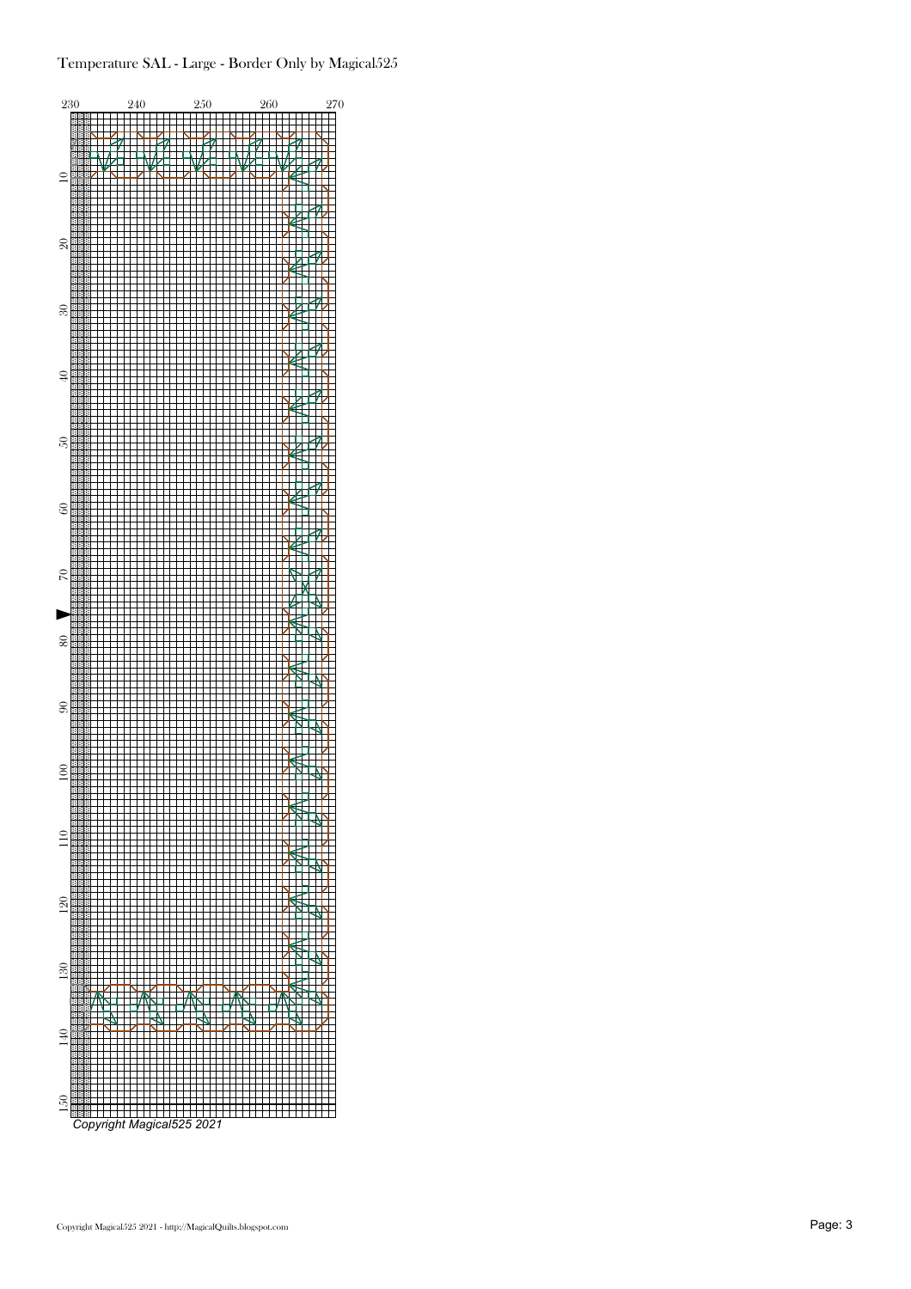## Temperature SAL - Large - Border Only by Magical525